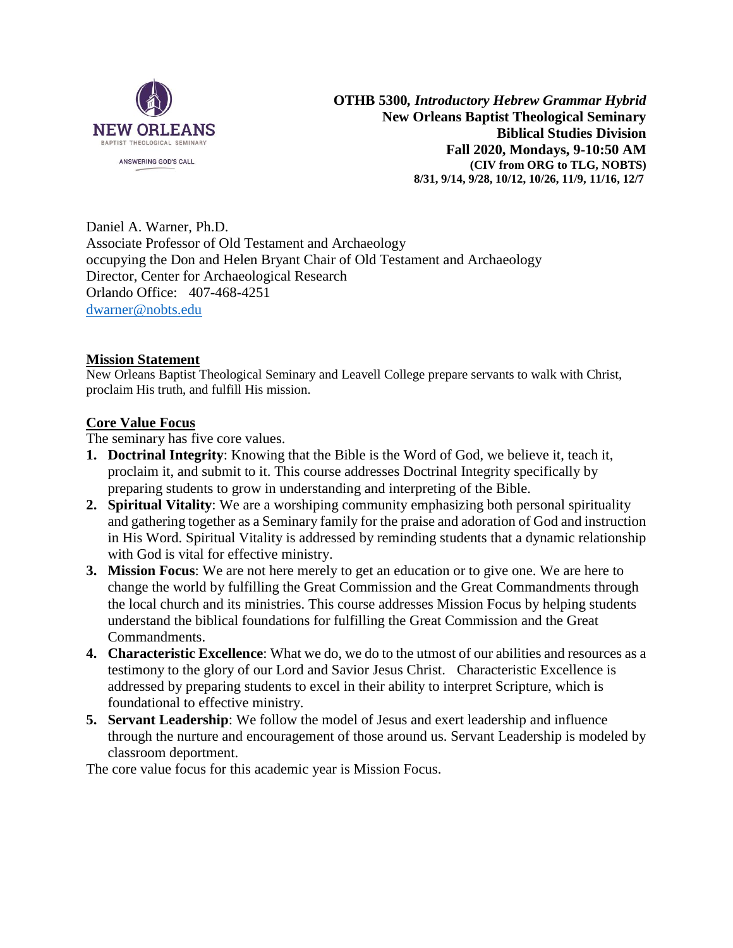

**OTHB 5300***, Introductory Hebrew Grammar Hybrid* **New Orleans Baptist Theological Seminary Biblical Studies Division Fall 2020, Mondays, 9-10:50 AM (CIV from ORG to TLG, NOBTS) 8/31, 9/14, 9/28, 10/12, 10/26, 11/9, 11/16, 12/7**

Daniel A. Warner, Ph.D. Associate Professor of Old Testament and Archaeology occupying the Don and Helen Bryant Chair of Old Testament and Archaeology Director, Center for Archaeological Research Orlando Office: 407-468-4251 [dwarner@nobts.edu](mailto:dwarner@nobts.edu)

#### **Mission Statement**

New Orleans Baptist Theological Seminary and Leavell College prepare servants to walk with Christ, proclaim His truth, and fulfill His mission.

#### **Core Value Focus**

The seminary has five core values.

- **1. Doctrinal Integrity**: Knowing that the Bible is the Word of God, we believe it, teach it, proclaim it, and submit to it. This course addresses Doctrinal Integrity specifically by preparing students to grow in understanding and interpreting of the Bible.
- **2. Spiritual Vitality**: We are a worshiping community emphasizing both personal spirituality and gathering together as a Seminary family for the praise and adoration of God and instruction in His Word. Spiritual Vitality is addressed by reminding students that a dynamic relationship with God is vital for effective ministry.
- **3. Mission Focus**: We are not here merely to get an education or to give one. We are here to change the world by fulfilling the Great Commission and the Great Commandments through the local church and its ministries. This course addresses Mission Focus by helping students understand the biblical foundations for fulfilling the Great Commission and the Great Commandments.
- **4. Characteristic Excellence**: What we do, we do to the utmost of our abilities and resources as a testimony to the glory of our Lord and Savior Jesus Christ. Characteristic Excellence is addressed by preparing students to excel in their ability to interpret Scripture, which is foundational to effective ministry.
- **5. Servant Leadership**: We follow the model of Jesus and exert leadership and influence through the nurture and encouragement of those around us. Servant Leadership is modeled by classroom deportment.

The core value focus for this academic year is Mission Focus.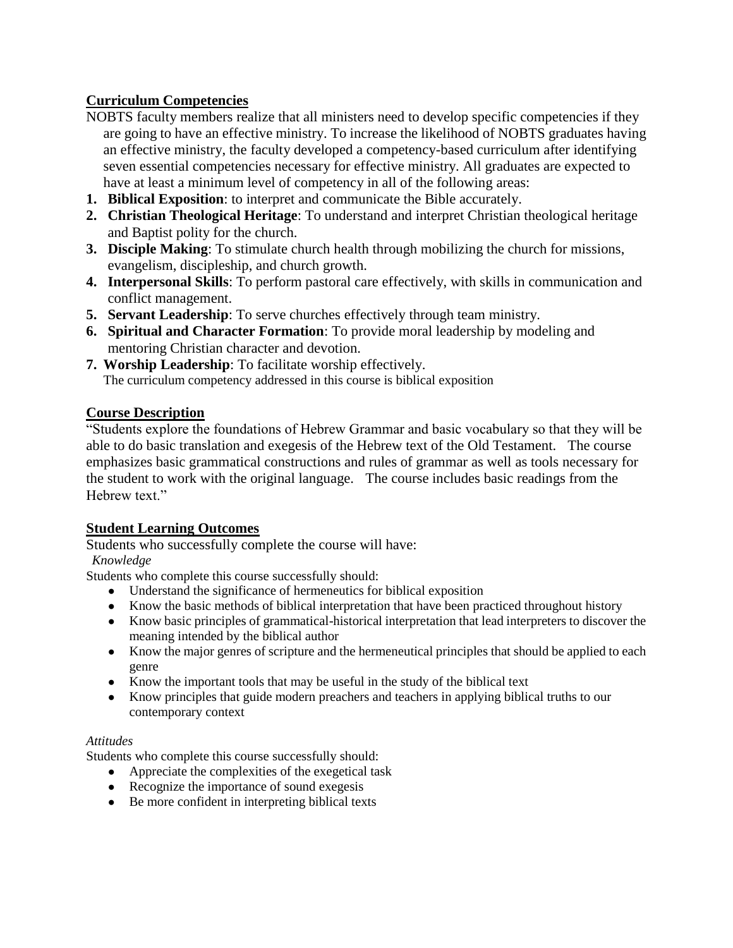## **Curriculum Competencies**

- NOBTS faculty members realize that all ministers need to develop specific competencies if they are going to have an effective ministry. To increase the likelihood of NOBTS graduates having an effective ministry, the faculty developed a competency-based curriculum after identifying seven essential competencies necessary for effective ministry. All graduates are expected to have at least a minimum level of competency in all of the following areas:
- **1. Biblical Exposition**: to interpret and communicate the Bible accurately.
- **2. Christian Theological Heritage**: To understand and interpret Christian theological heritage and Baptist polity for the church.
- **3. Disciple Making**: To stimulate church health through mobilizing the church for missions, evangelism, discipleship, and church growth.
- **4. Interpersonal Skills**: To perform pastoral care effectively, with skills in communication and conflict management.
- **5. Servant Leadership**: To serve churches effectively through team ministry.
- **6. Spiritual and Character Formation**: To provide moral leadership by modeling and mentoring Christian character and devotion.
- **7. Worship Leadership**: To facilitate worship effectively. The curriculum competency addressed in this course is biblical exposition

#### **Course Description**

"Students explore the foundations of Hebrew Grammar and basic vocabulary so that they will be able to do basic translation and exegesis of the Hebrew text of the Old Testament. The course emphasizes basic grammatical constructions and rules of grammar as well as tools necessary for the student to work with the original language. The course includes basic readings from the Hebrew text."

### **Student Learning Outcomes**

Students who successfully complete the course will have:

#### *Knowledge*

Students who complete this course successfully should:

- Understand the significance of hermeneutics for biblical exposition
- Know the basic methods of biblical interpretation that have been practiced throughout history
- Know basic principles of grammatical-historical interpretation that lead interpreters to discover the meaning intended by the biblical author
- Know the major genres of scripture and the hermeneutical principles that should be applied to each genre
- Know the important tools that may be useful in the study of the biblical text
- Know principles that guide modern preachers and teachers in applying biblical truths to our contemporary context

#### *Attitudes*

Students who complete this course successfully should:

- Appreciate the complexities of the exegetical task
- Recognize the importance of sound exegesis
- Be more confident in interpreting biblical texts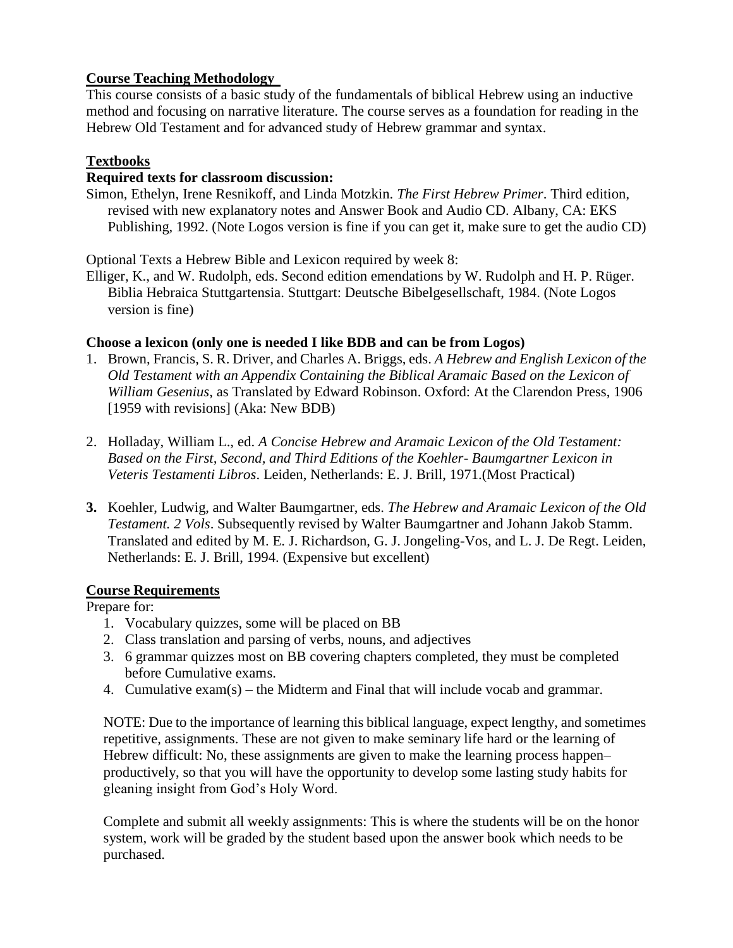### **Course Teaching Methodology**

This course consists of a basic study of the fundamentals of biblical Hebrew using an inductive method and focusing on narrative literature. The course serves as a foundation for reading in the Hebrew Old Testament and for advanced study of Hebrew grammar and syntax.

### **Textbooks**

### **Required texts for classroom discussion:**

Simon, Ethelyn, Irene Resnikoff, and Linda Motzkin. *The First Hebrew Primer*. Third edition, revised with new explanatory notes and Answer Book and Audio CD. Albany, CA: EKS Publishing, 1992. (Note Logos version is fine if you can get it, make sure to get the audio CD)

Optional Texts a Hebrew Bible and Lexicon required by week 8:

Elliger, K., and W. Rudolph, eds. Second edition emendations by W. Rudolph and H. P. Rüger. Biblia Hebraica Stuttgartensia. Stuttgart: Deutsche Bibelgesellschaft, 1984. (Note Logos version is fine)

### **Choose a lexicon (only one is needed I like BDB and can be from Logos)**

- 1. Brown, Francis, S. R. Driver, and Charles A. Briggs, eds. *A Hebrew and English Lexicon of the Old Testament with an Appendix Containing the Biblical Aramaic Based on the Lexicon of William Gesenius*, as Translated by Edward Robinson. Oxford: At the Clarendon Press, 1906 [1959 with revisions] (Aka: New BDB)
- 2. Holladay, William L., ed. *A Concise Hebrew and Aramaic Lexicon of the Old Testament: Based on the First, Second, and Third Editions of the Koehler- Baumgartner Lexicon in Veteris Testamenti Libros*. Leiden, Netherlands: E. J. Brill, 1971.(Most Practical)
- **3.** Koehler, Ludwig, and Walter Baumgartner, eds. *The Hebrew and Aramaic Lexicon of the Old Testament. 2 Vols*. Subsequently revised by Walter Baumgartner and Johann Jakob Stamm. Translated and edited by M. E. J. Richardson, G. J. Jongeling-Vos, and L. J. De Regt. Leiden, Netherlands: E. J. Brill, 1994. (Expensive but excellent)

### **Course Requirements**

Prepare for:

- 1. Vocabulary quizzes, some will be placed on BB
- 2. Class translation and parsing of verbs, nouns, and adjectives
- 3. 6 grammar quizzes most on BB covering chapters completed, they must be completed before Cumulative exams.
- 4. Cumulative exam(s) the Midterm and Final that will include vocab and grammar.

NOTE: Due to the importance of learning this biblical language, expect lengthy, and sometimes repetitive, assignments. These are not given to make seminary life hard or the learning of Hebrew difficult: No, these assignments are given to make the learning process happen– productively, so that you will have the opportunity to develop some lasting study habits for gleaning insight from God's Holy Word.

Complete and submit all weekly assignments: This is where the students will be on the honor system, work will be graded by the student based upon the answer book which needs to be purchased.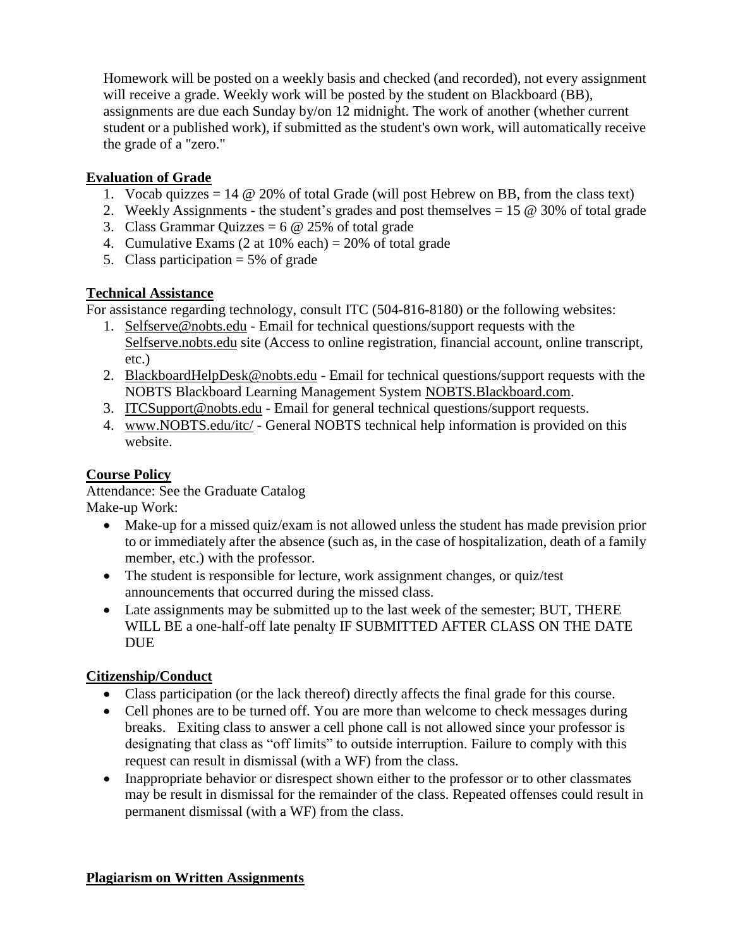Homework will be posted on a weekly basis and checked (and recorded), not every assignment will receive a grade. Weekly work will be posted by the student on Blackboard (BB), assignments are due each Sunday by/on 12 midnight. The work of another (whether current student or a published work), if submitted as the student's own work, will automatically receive the grade of a "zero."

## **Evaluation of Grade**

- 1. Vocab quizzes = 14  $\omega$  20% of total Grade (will post Hebrew on BB, from the class text)
- 2. Weekly Assignments the student's grades and post themselves = 15 @ 30% of total grade
- 3. Class Grammar Quizzes =  $6 \text{ } \textcircled{e}$  25% of total grade
- 4. Cumulative Exams  $(2 \text{ at } 10\% \text{ each}) = 20\% \text{ of total grade}$
- 5. Class participation  $= 5\%$  of grade

## **Technical Assistance**

For assistance regarding technology, consult ITC (504-816-8180) or the following websites:

- 1. Selfserve@nobts.edu Email for technical questions/support requests with the Selfserve.nobts.edu site (Access to online registration, financial account, online transcript, etc.)
- 2. BlackboardHelpDesk@nobts.edu Email for technical questions/support requests with the NOBTS Blackboard Learning Management System NOBTS.Blackboard.com.
- 3. ITCSupport@nobts.edu Email for general technical questions/support requests.
- 4. www.NOBTS.edu/itc/ General NOBTS technical help information is provided on this website.

# **Course Policy**

Attendance: See the Graduate Catalog Make-up Work:

- Make-up for a missed quiz/exam is not allowed unless the student has made prevision prior to or immediately after the absence (such as, in the case of hospitalization, death of a family member, etc.) with the professor.
- The student is responsible for lecture, work assignment changes, or quiz/test announcements that occurred during the missed class.
- Late assignments may be submitted up to the last week of the semester; BUT, THERE WILL BE a one-half-off late penalty IF SUBMITTED AFTER CLASS ON THE DATE DUE

# **Citizenship/Conduct**

- Class participation (or the lack thereof) directly affects the final grade for this course.
- Cell phones are to be turned off. You are more than welcome to check messages during breaks. Exiting class to answer a cell phone call is not allowed since your professor is designating that class as "off limits" to outside interruption. Failure to comply with this request can result in dismissal (with a WF) from the class.
- Inappropriate behavior or disrespect shown either to the professor or to other classmates may be result in dismissal for the remainder of the class. Repeated offenses could result in permanent dismissal (with a WF) from the class.

## **Plagiarism on Written Assignments**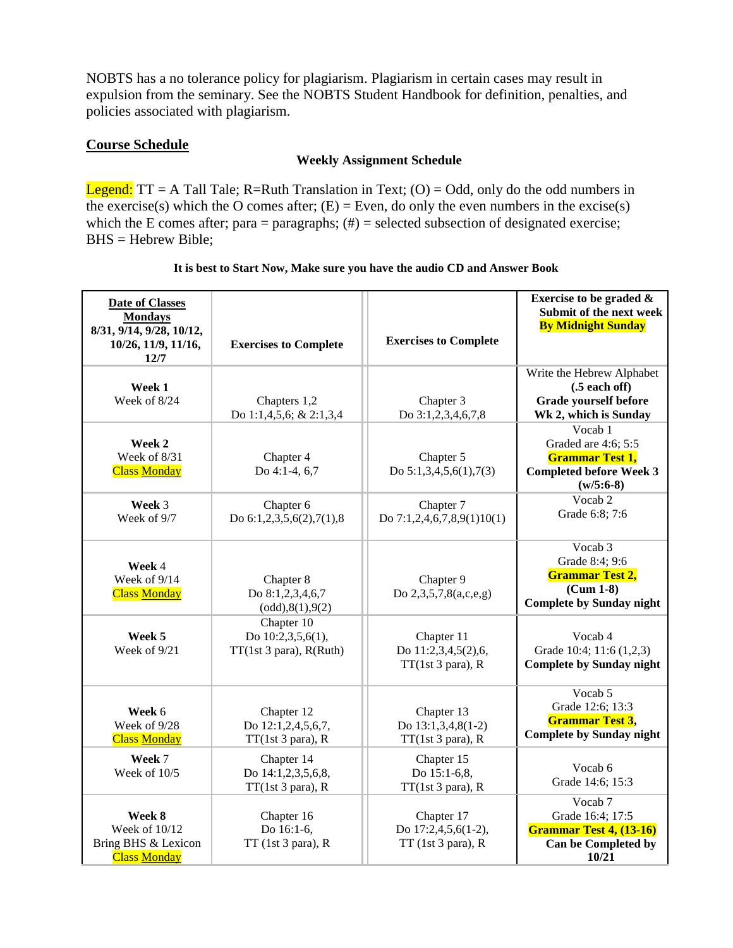NOBTS has a no tolerance policy for plagiarism. Plagiarism in certain cases may result in expulsion from the seminary. See the NOBTS Student Handbook for definition, penalties, and policies associated with plagiarism.

#### **Course Schedule**

#### **Weekly Assignment Schedule**

**Legend:**  $TT = A$  Tall Tale; R=Ruth Translation in Text; (O) = Odd, only do the odd numbers in the exercise(s) which the O comes after;  $(E)$  = Even, do only the even numbers in the excise(s) which the E comes after; para = paragraphs;  $(\#)$  = selected subsection of designated exercise; BHS = Hebrew Bible;

| It is best to Start Now, Make sure you have the audio CD and Answer Book |  |
|--------------------------------------------------------------------------|--|
|                                                                          |  |

| <b>Date of Classes</b><br><b>Mondays</b><br>8/31, 9/14, 9/28, 10/12,<br>10/26, 11/9, 11/16,<br>12/7 | <b>Exercises to Complete</b>                               | <b>Exercises to Complete</b>                              | Exercise to be graded $\&$<br>Submit of the next week<br><b>By Midnight Sunday</b>                        |
|-----------------------------------------------------------------------------------------------------|------------------------------------------------------------|-----------------------------------------------------------|-----------------------------------------------------------------------------------------------------------|
| Week 1<br>Week of 8/24                                                                              | Chapters 1,2<br>Do 1:1,4,5,6; & 2:1,3,4                    | Chapter 3<br>Do 3:1,2,3,4,6,7,8                           | Write the Hebrew Alphabet<br>$(.5$ each off)<br><b>Grade yourself before</b><br>Wk 2, which is Sunday     |
| Week 2<br>Week of 8/31<br><b>Class Monday</b>                                                       | Chapter 4<br>Do 4:1-4, 6,7                                 | Chapter 5<br>Do $5:1,3,4,5,6(1),7(3)$                     | Vocab 1<br>Graded are 4:6; 5:5<br><b>Grammar Test 1,</b><br><b>Completed before Week 3</b><br>$(w/5:6-8)$ |
| Week 3<br>Week of 9/7                                                                               | Chapter 6<br>Do $6:1,2,3,5,6(2),7(1),8$                    | Chapter 7<br>Do $7:1,2,4,6,7,8,9(1)10(1)$                 | Vocab 2<br>Grade 6:8; 7:6                                                                                 |
| Week 4<br>Week of 9/14<br><b>Class Monday</b>                                                       | Chapter 8<br>Do 8:1,2,3,4,6,7<br>(odd), 8(1), 9(2)         | Chapter 9<br>Do 2,3,5,7,8(a,c,e,g)                        | Vocab 3<br>Grade 8:4; 9:6<br><b>Grammar Test 2,</b><br>$(Cum 1-8)$<br><b>Complete by Sunday night</b>     |
| Week 5<br>Week of 9/21                                                                              | Chapter 10<br>Do 10:2,3,5,6(1),<br>TT(1st 3 para), R(Ruth) | Chapter 11<br>Do 11:2,3,4,5(2),6,<br>TT(1st 3 para), R    | Vocab 4<br>Grade 10:4; 11:6 (1,2,3)<br><b>Complete by Sunday night</b>                                    |
| Week 6<br>Week of 9/28<br><b>Class Monday</b>                                                       | Chapter 12<br>Do 12:1,2,4,5,6,7,<br>TT(1st 3 para), R      | Chapter 13<br>Do 13:1,3,4,8(1-2)<br>TT(1st 3 para), R     | Vocab 5<br>Grade 12:6; 13:3<br><b>Grammar Test 3,</b><br><b>Complete by Sunday night</b>                  |
| Week 7<br>Week of 10/5                                                                              | Chapter 14<br>Do 14:1,2,3,5,6,8,<br>TT(1st 3 para), R      | Chapter 15<br>Do 15:1-6,8,<br>TT(1st 3 para), R           | Vocab 6<br>Grade 14:6; 15:3                                                                               |
| Week 8<br>Week of 10/12<br>Bring BHS & Lexicon<br><b>Class Monday</b>                               | Chapter 16<br>Do 16:1-6,<br>$TT$ (1st 3 para), R           | Chapter 17<br>Do 17:2,4,5,6(1-2),<br>$TT$ (1st 3 para), R | Vocab <sub>7</sub><br>Grade 16:4; 17:5<br><b>Grammar Test 4, (13-16)</b><br>Can be Completed by<br>10/21  |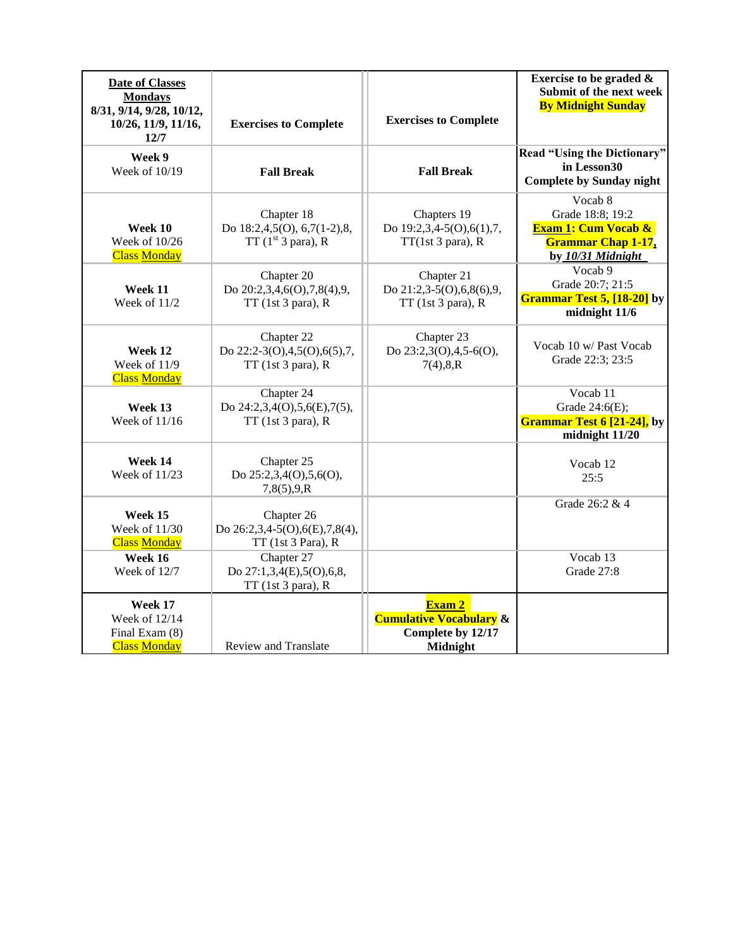| <b>Date of Classes</b><br><b>Mondays</b><br>8/31, 9/14, 9/28, 10/12,<br>10/26, 11/9, 11/16,<br>12/7 | <b>Exercises to Complete</b>                                      | <b>Exercises to Complete</b>                                                         | Exercise to be graded &<br>Submit of the next week<br><b>By Midnight Sunday</b>                                 |
|-----------------------------------------------------------------------------------------------------|-------------------------------------------------------------------|--------------------------------------------------------------------------------------|-----------------------------------------------------------------------------------------------------------------|
| Week 9<br>Week of 10/19                                                                             | <b>Fall Break</b>                                                 | <b>Fall Break</b>                                                                    | <b>Read "Using the Dictionary"</b><br>in Lesson30<br><b>Complete by Sunday night</b>                            |
| Week 10<br>Week of 10/26<br><b>Class Monday</b>                                                     | Chapter 18<br>Do 18:2,4,5(O), 6,7(1-2),8,<br>TT $(1st 3para)$ , R | Chapters 19<br>Do 19:2,3,4-5(O),6(1),7,<br>TT(1st 3 para), R                         | Vocab 8<br>Grade 18:8; 19:2<br><b>Exam 1: Cum Vocab &amp;</b><br><b>Grammar Chap 1-17,</b><br>by 10/31 Midnight |
| Week 11<br>Week of 11/2                                                                             | Chapter 20<br>Do 20:2,3,4,6(O),7,8(4),9,<br>TT (1st 3 para), R    | Chapter 21<br>Do 21:2,3-5(O),6,8(6),9,<br>TT (1st 3 para), R                         | Vocab 9<br>Grade 20:7; 21:5<br><b>Grammar Test 5, [18-20]</b> by<br>midnight 11/6                               |
| Week 12<br>Week of 11/9<br><b>Class Monday</b>                                                      | Chapter 22<br>Do 22:2-3(O),4,5(O),6(5),7,<br>$TT$ (1st 3 para), R | Chapter 23<br>Do 23:2,3(O),4,5-6(O),<br>7(4), 8, R                                   | Vocab 10 w/ Past Vocab<br>Grade 22:3; 23:5                                                                      |
| Week 13<br>Week of 11/16                                                                            | Chapter 24<br>Do 24:2,3,4(O),5,6(E),7(5),<br>$TT$ (1st 3 para), R |                                                                                      | Vocab 11<br>Grade 24:6(E);<br><b>Grammar Test 6 [21-24]</b> , by<br>midnight 11/20                              |
| Week 14<br>Week of 11/23                                                                            | Chapter 25<br>Do 25:2,3,4(O),5,6(O),<br>7,8(5),9,R                |                                                                                      | Vocab 12<br>25:5                                                                                                |
| Week 15<br>Week of 11/30<br><b>Class Monday</b>                                                     | Chapter 26<br>Do 26:2,3,4-5(O),6(E),7,8(4),<br>TT (1st 3 Para), R |                                                                                      | Grade 26:2 & 4                                                                                                  |
| Week 16<br>Week of $12/7$                                                                           | Chapter 27<br>Do 27:1,3,4(E),5(O),6,8,<br>$TT$ (1st 3 para), R    |                                                                                      | Vocab 13<br>Grade 27:8                                                                                          |
| Week 17<br>Week of 12/14<br>Final Exam (8)<br><b>Class Monday</b>                                   | <b>Review and Translate</b>                                       | Exam 2<br><b>Cumulative Vocabulary &amp;</b><br>Complete by 12/17<br><b>Midnight</b> |                                                                                                                 |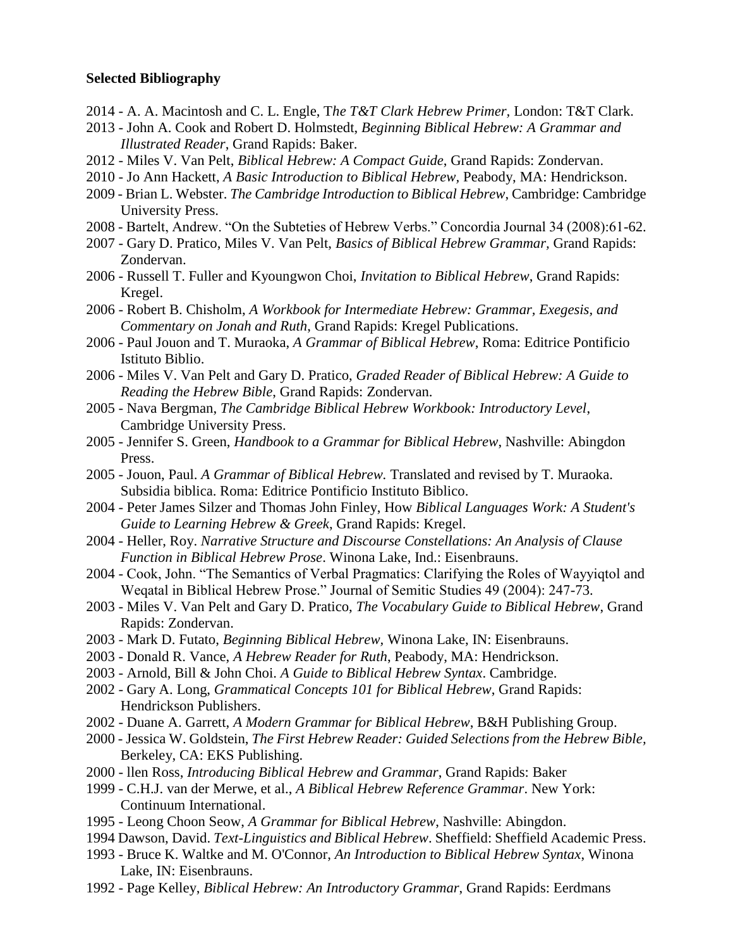#### **Selected Bibliography**

- 2014 A. A. Macintosh and C. L. Engle, T*he T&T Clark Hebrew Primer,* London: T&T Clark.
- 2013 John A. Cook and Robert D. Holmstedt, *Beginning Biblical Hebrew: A Grammar and Illustrated Reader*, Grand Rapids: Baker.
- 2012 Miles V. Van Pelt, *Biblical Hebrew: A Compact Guide*, Grand Rapids: Zondervan.
- 2010 Jo Ann Hackett, *A Basic Introduction to Biblical Hebrew,* Peabody, MA: Hendrickson.
- 2009 Brian L. Webster. *The Cambridge Introduction to Biblical Hebrew*, Cambridge: Cambridge University Press.
- 2008 Bartelt, Andrew. "On the Subteties of Hebrew Verbs." Concordia Journal 34 (2008):61-62.
- 2007 Gary D. Pratico, Miles V. Van Pelt, *Basics of Biblical Hebrew Grammar,* Grand Rapids: Zondervan.
- 2006 Russell T. Fuller and Kyoungwon Choi, *Invitation to Biblical Hebrew*, Grand Rapids: Kregel.
- 2006 Robert B. Chisholm, *A Workbook for Intermediate Hebrew: Grammar, Exegesis, and Commentary on Jonah and Ruth*, Grand Rapids: Kregel Publications.
- 2006 Paul Jouon and T. Muraoka, *A Grammar of Biblical Hebrew*, Roma: Editrice Pontificio Istituto Biblio.
- 2006 Miles V. Van Pelt and Gary D. Pratico, *Graded Reader of Biblical Hebrew: A Guide to Reading the Hebrew Bible*, Grand Rapids: Zondervan.
- 2005 Nava Bergman, *The Cambridge Biblical Hebrew Workbook: Introductory Level*, Cambridge University Press.
- 2005 Jennifer S. Green, *Handbook to a Grammar for Biblical Hebrew*, Nashville: Abingdon Press.
- 2005 Jouon, Paul. *A Grammar of Biblical Hebrew.* Translated and revised by T. Muraoka. Subsidia biblica. Roma: Editrice Pontificio Instituto Biblico.
- 2004 Peter James Silzer and Thomas John Finley, How *Biblical Languages Work: A Student's Guide to Learning Hebrew & Greek*, Grand Rapids: Kregel.
- 2004 Heller, Roy. *Narrative Structure and Discourse Constellations: An Analysis of Clause Function in Biblical Hebrew Prose*. Winona Lake, Ind.: Eisenbrauns.
- 2004 Cook, John. "The Semantics of Verbal Pragmatics: Clarifying the Roles of Wayyiqtol and Weqatal in Biblical Hebrew Prose." Journal of Semitic Studies 49 (2004): 247-73.
- 2003 Miles V. Van Pelt and Gary D. Pratico, *The Vocabulary Guide to Biblical Hebrew*, Grand Rapids: Zondervan.
- 2003 Mark D. Futato, *Beginning Biblical Hebrew,* Winona Lake, IN: Eisenbrauns.
- 2003 Donald R. Vance, *A Hebrew Reader for Ruth*, Peabody, MA: Hendrickson.
- 2003 Arnold, Bill & John Choi. *A Guide to Biblical Hebrew Syntax*. Cambridge.
- 2002 Gary A. Long, *Grammatical Concepts 101 for Biblical Hebrew*, Grand Rapids: Hendrickson Publishers.
- 2002 Duane A. Garrett, *A Modern Grammar for Biblical Hebrew*, B&H Publishing Group.
- 2000 Jessica W. Goldstein, *The First Hebrew Reader: Guided Selections from the Hebrew Bible,* Berkeley, CA: EKS Publishing.
- 2000 llen Ross, *Introducing Biblical Hebrew and Grammar*, Grand Rapids: Baker
- 1999 C.H.J. van der Merwe, et al., *A Biblical Hebrew Reference Grammar*. New York: Continuum International.
- 1995 Leong Choon Seow, *A Grammar for Biblical Hebrew*, Nashville: Abingdon.
- 1994 Dawson, David. *Text-Linguistics and Biblical Hebrew*. Sheffield: Sheffield Academic Press.
- 1993 Bruce K. Waltke and M. O'Connor, *An Introduction to Biblical Hebrew Syntax*, Winona Lake, IN: Eisenbrauns.
- 1992 Page Kelley, *Biblical Hebrew: An Introductory Grammar*, Grand Rapids: Eerdmans